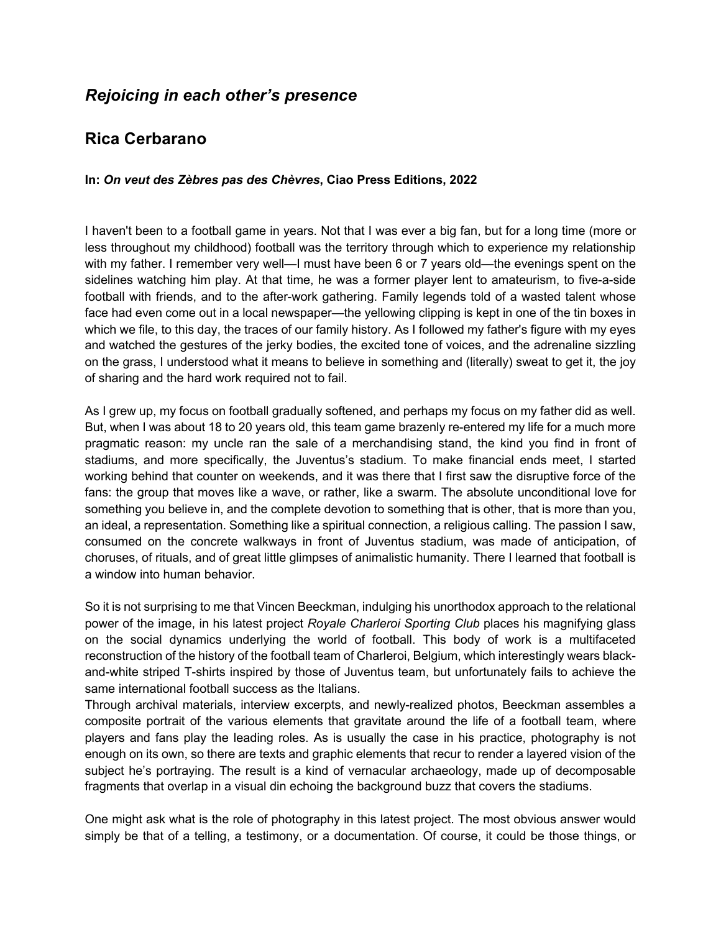## *Rejoicing in each other's presence*

## **Rica Cerbarano**

## **In:** *On veut des Zèbres pas des Chèvres***, Ciao Press Editions, 2022**

I haven't been to a football game in years. Not that I was ever a big fan, but for a long time (more or less throughout my childhood) football was the territory through which to experience my relationship with my father. I remember very well—I must have been 6 or 7 years old—the evenings spent on the sidelines watching him play. At that time, he was a former player lent to amateurism, to five-a-side football with friends, and to the after-work gathering. Family legends told of a wasted talent whose face had even come out in a local newspaper—the yellowing clipping is kept in one of the tin boxes in which we file, to this day, the traces of our family history. As I followed my father's figure with my eyes and watched the gestures of the jerky bodies, the excited tone of voices, and the adrenaline sizzling on the grass, I understood what it means to believe in something and (literally) sweat to get it, the joy of sharing and the hard work required not to fail.

As I grew up, my focus on football gradually softened, and perhaps my focus on my father did as well. But, when I was about 18 to 20 years old, this team game brazenly re-entered my life for a much more pragmatic reason: my uncle ran the sale of a merchandising stand, the kind you find in front of stadiums, and more specifically, the Juventus's stadium. To make financial ends meet, I started working behind that counter on weekends, and it was there that I first saw the disruptive force of the fans: the group that moves like a wave, or rather, like a swarm. The absolute unconditional love for something you believe in, and the complete devotion to something that is other, that is more than you, an ideal, a representation. Something like a spiritual connection, a religious calling. The passion I saw, consumed on the concrete walkways in front of Juventus stadium, was made of anticipation, of choruses, of rituals, and of great little glimpses of animalistic humanity. There I learned that football is a window into human behavior.

So it is not surprising to me that Vincen Beeckman, indulging his unorthodox approach to the relational power of the image, in his latest project *Royale Charleroi Sporting Club* places his magnifying glass on the social dynamics underlying the world of football. This body of work is a multifaceted reconstruction of the history of the football team of Charleroi, Belgium, which interestingly wears blackand-white striped T-shirts inspired by those of Juventus team, but unfortunately fails to achieve the same international football success as the Italians.

Through archival materials, interview excerpts, and newly-realized photos, Beeckman assembles a composite portrait of the various elements that gravitate around the life of a football team, where players and fans play the leading roles. As is usually the case in his practice, photography is not enough on its own, so there are texts and graphic elements that recur to render a layered vision of the subject he's portraying. The result is a kind of vernacular archaeology, made up of decomposable fragments that overlap in a visual din echoing the background buzz that covers the stadiums.

One might ask what is the role of photography in this latest project. The most obvious answer would simply be that of a telling, a testimony, or a documentation. Of course, it could be those things, or